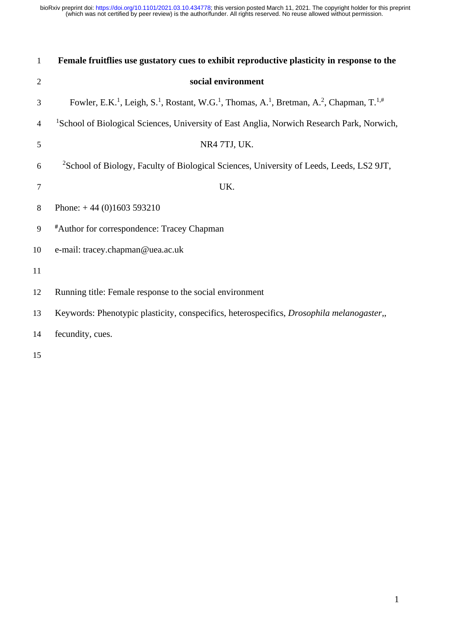(which was not certified by peer review) is the author/funder. All rights reserved. No reuse allowed without permission. bioRxiv preprint doi: [https://doi.org/10.1101/2021.03.10.434778;](https://doi.org/10.1101/2021.03.10.434778) this version posted March 11, 2021. The copyright holder for this preprint

| $\mathbf{1}$             | Female fruitflies use gustatory cues to exhibit reproductive plasticity in response to the                                                                        |
|--------------------------|-------------------------------------------------------------------------------------------------------------------------------------------------------------------|
| $\overline{2}$           | social environment                                                                                                                                                |
| 3                        | Fowler, E.K. <sup>1</sup> , Leigh, S. <sup>1</sup> , Rostant, W.G. <sup>1</sup> , Thomas, A. <sup>1</sup> , Bretman, A. <sup>2</sup> , Chapman, T. <sup>1,#</sup> |
| $\overline{\mathcal{A}}$ | <sup>1</sup> School of Biological Sciences, University of East Anglia, Norwich Research Park, Norwich,                                                            |
| 5                        | NR4 7TJ, UK.                                                                                                                                                      |
| 6                        | <sup>2</sup> School of Biology, Faculty of Biological Sciences, University of Leeds, Leeds, LS2 9JT,                                                              |
| $\overline{7}$           | UK.                                                                                                                                                               |
| 8                        | Phone: $+44(0)1603593210$                                                                                                                                         |
| 9                        | <sup>#</sup> Author for correspondence: Tracey Chapman                                                                                                            |
| 10                       | e-mail: tracey.chapman@uea.ac.uk                                                                                                                                  |
| 11                       |                                                                                                                                                                   |
| 12                       | Running title: Female response to the social environment                                                                                                          |
| 13                       | Keywords: Phenotypic plasticity, conspecifics, heterospecifics, Drosophila melanogaster,,                                                                         |
| 14                       | fecundity, cues.                                                                                                                                                  |
|                          |                                                                                                                                                                   |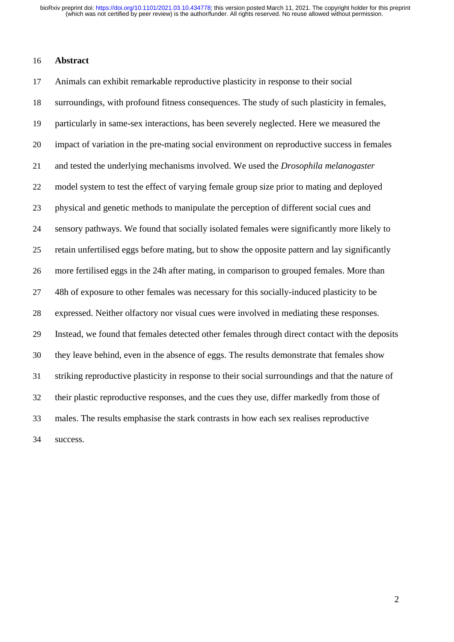#### **Abstract**

 Animals can exhibit remarkable reproductive plasticity in response to their social surroundings, with profound fitness consequences. The study of such plasticity in females, particularly in same-sex interactions, has been severely neglected. Here we measured the impact of variation in the pre-mating social environment on reproductive success in females and tested the underlying mechanisms involved. We used the *Drosophila melanogaster* model system to test the effect of varying female group size prior to mating and deployed physical and genetic methods to manipulate the perception of different social cues and sensory pathways. We found that socially isolated females were significantly more likely to retain unfertilised eggs before mating, but to show the opposite pattern and lay significantly more fertilised eggs in the 24h after mating, in comparison to grouped females. More than 27 48h of exposure to other females was necessary for this socially-induced plasticity to be expressed. Neither olfactory nor visual cues were involved in mediating these responses. Instead, we found that females detected other females through direct contact with the deposits they leave behind, even in the absence of eggs. The results demonstrate that females show striking reproductive plasticity in response to their social surroundings and that the nature of their plastic reproductive responses, and the cues they use, differ markedly from those of males. The results emphasise the stark contrasts in how each sex realises reproductive success.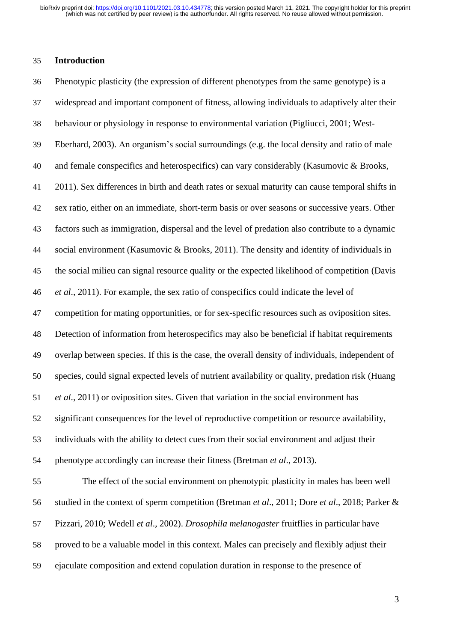#### **Introduction**

 Phenotypic plasticity (the expression of different phenotypes from the same genotype) is a widespread and important component of fitness, allowing individuals to adaptively alter their behaviour or physiology in response to environmental variation (Pigliucci, 2001; West- Eberhard, 2003). An organism's social surroundings (e.g. the local density and ratio of male and female conspecifics and heterospecifics) can vary considerably (Kasumovic & Brooks, 2011). Sex differences in birth and death rates or sexual maturity can cause temporal shifts in sex ratio, either on an immediate, short-term basis or over seasons or successive years. Other factors such as immigration, dispersal and the level of predation also contribute to a dynamic social environment (Kasumovic & Brooks, 2011). The density and identity of individuals in the social milieu can signal resource quality or the expected likelihood of competition (Davis *et al*., 2011). For example, the sex ratio of conspecifics could indicate the level of competition for mating opportunities, or for sex-specific resources such as oviposition sites. Detection of information from heterospecifics may also be beneficial if habitat requirements overlap between species. If this is the case, the overall density of individuals, independent of species, could signal expected levels of nutrient availability or quality, predation risk (Huang *et al*., 2011) or oviposition sites. Given that variation in the social environment has significant consequences for the level of reproductive competition or resource availability, individuals with the ability to detect cues from their social environment and adjust their phenotype accordingly can increase their fitness (Bretman *et al*., 2013). The effect of the social environment on phenotypic plasticity in males has been well studied in the context of sperm competition (Bretman *et al*., 2011; Dore *et al*., 2018; Parker & Pizzari, 2010; Wedell *et al*., 2002). *Drosophila melanogaster* fruitflies in particular have proved to be a valuable model in this context. Males can precisely and flexibly adjust their

ejaculate composition and extend copulation duration in response to the presence of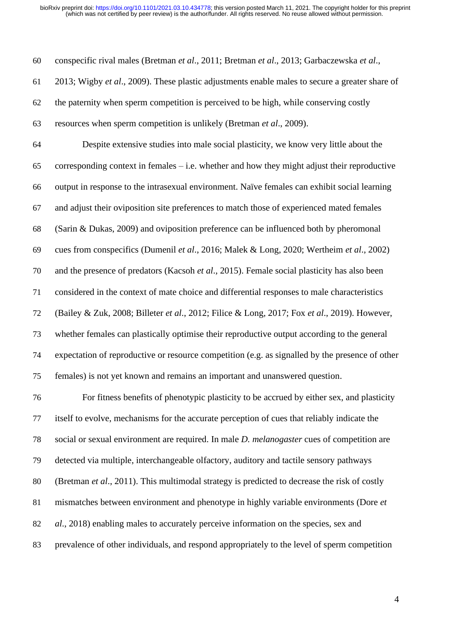conspecific rival males (Bretman *et al*., 2011; Bretman *et al*., 2013; Garbaczewska *et al*.,

2013; Wigby *et al*., 2009). These plastic adjustments enable males to secure a greater share of

the paternity when sperm competition is perceived to be high, while conserving costly

resources when sperm competition is unlikely (Bretman *et al*., 2009).

 Despite extensive studies into male social plasticity, we know very little about the corresponding context in females – i.e. whether and how they might adjust their reproductive output in response to the intrasexual environment. Naïve females can exhibit social learning and adjust their oviposition site preferences to match those of experienced mated females (Sarin & Dukas, 2009) and oviposition preference can be influenced both by pheromonal cues from conspecifics (Dumenil *et al*., 2016; Malek & Long, 2020; Wertheim *et al*., 2002) and the presence of predators (Kacsoh *et al*., 2015). Female social plasticity has also been considered in the context of mate choice and differential responses to male characteristics (Bailey & Zuk, 2008; Billeter *et al*., 2012; Filice & Long, 2017; Fox *et al*., 2019). However, whether females can plastically optimise their reproductive output according to the general expectation of reproductive or resource competition (e.g. as signalled by the presence of other females) is not yet known and remains an important and unanswered question.

 For fitness benefits of phenotypic plasticity to be accrued by either sex, and plasticity itself to evolve, mechanisms for the accurate perception of cues that reliably indicate the social or sexual environment are required. In male *D. melanogaster* cues of competition are detected via multiple, interchangeable olfactory, auditory and tactile sensory pathways (Bretman *et al*., 2011). This multimodal strategy is predicted to decrease the risk of costly mismatches between environment and phenotype in highly variable environments (Dore *et al*., 2018) enabling males to accurately perceive information on the species, sex and prevalence of other individuals, and respond appropriately to the level of sperm competition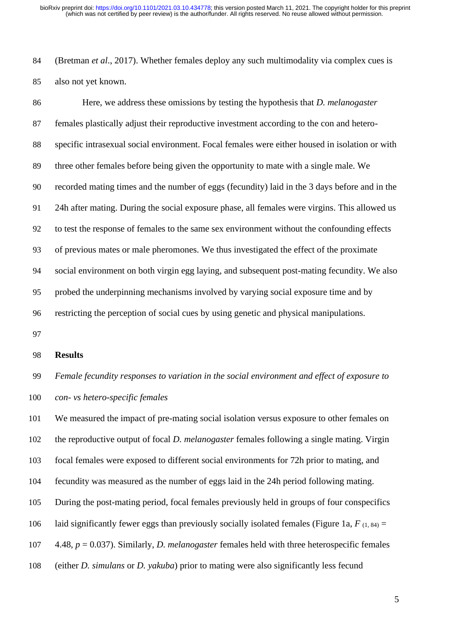(Bretman *et al*., 2017). Whether females deploy any such multimodality via complex cues is also not yet known.

 Here, we address these omissions by testing the hypothesis that *D. melanogaster* females plastically adjust their reproductive investment according to the con and hetero- specific intrasexual social environment. Focal females were either housed in isolation or with three other females before being given the opportunity to mate with a single male. We recorded mating times and the number of eggs (fecundity) laid in the 3 days before and in the 24h after mating. During the social exposure phase, all females were virgins. This allowed us to test the response of females to the same sex environment without the confounding effects of previous mates or male pheromones. We thus investigated the effect of the proximate social environment on both virgin egg laying, and subsequent post-mating fecundity. We also probed the underpinning mechanisms involved by varying social exposure time and by restricting the perception of social cues by using genetic and physical manipulations.

#### **Results**

 *Female fecundity responses to variation in the social environment and effect of exposure to con- vs hetero-specific females*

 We measured the impact of pre-mating social isolation versus exposure to other females on the reproductive output of focal *D. melanogaster* females following a single mating. Virgin focal females were exposed to different social environments for 72h prior to mating, and fecundity was measured as the number of eggs laid in the 24h period following mating. During the post-mating period, focal females previously held in groups of four conspecifics 106 laid significantly fewer eggs than previously socially isolated females (Figure 1a,  $F_{(1, 84)} =$  4.48, *p* = 0.037). Similarly, *D. melanogaster* females held with three heterospecific females (either *D. simulans* or *D. yakuba*) prior to mating were also significantly less fecund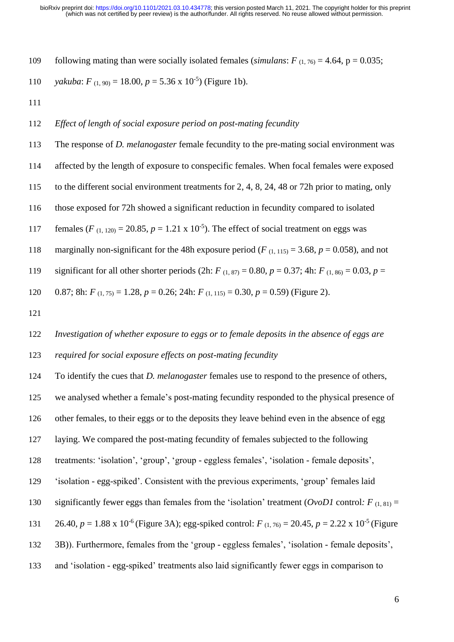109 following mating than were socially isolated females (*simulans*:  $F(1, 76) = 4.64$ ,  $p = 0.035$ ;

110 *yakuba*:  $F_{(1, 90)} = 18.00, p = 5.36 \times 10^{-5}$  (Figure 1b).

## *Effect of length of social exposure period on post-mating fecundity*

 The response of *D. melanogaster* female fecundity to the pre-mating social environment was affected by the length of exposure to conspecific females. When focal females were exposed to the different social environment treatments for 2, 4, 8, 24, 48 or 72h prior to mating, only those exposed for 72h showed a significant reduction in fecundity compared to isolated 117 females  $(F_{(1, 120)} = 20.85, p = 1.21 \times 10^{-5})$ . The effect of social treatment on eggs was 118 marginally non-significant for the 48h exposure period ( $F_{(1, 115)} = 3.68$ ,  $p = 0.058$ ), and not 119 significant for all other shorter periods (2h:  $F_{(1, 87)} = 0.80$ ,  $p = 0.37$ ; 4h:  $F_{(1, 86)} = 0.03$ ,  $p = 0.03$ 120 0.87; 8h:  $F_{(1, 75)} = 1.28$ ,  $p = 0.26$ ; 24h:  $F_{(1, 115)} = 0.30$ ,  $p = 0.59$ ) (Figure 2). 

 *Investigation of whether exposure to eggs or to female deposits in the absence of eggs are required for social exposure effects on post-mating fecundity*

 To identify the cues that *D. melanogaster* females use to respond to the presence of others, we analysed whether a female's post-mating fecundity responded to the physical presence of other females, to their eggs or to the deposits they leave behind even in the absence of egg laying. We compared the post-mating fecundity of females subjected to the following treatments: 'isolation', 'group', 'group - eggless females', 'isolation - female deposits', 'isolation - egg-spiked'. Consistent with the previous experiments, 'group' females laid 130 significantly fewer eggs than females from the 'isolation' treatment ( $Ov0D1$  control:  $F_{(1, 81)} =$ 131 26.40,  $p = 1.88 \times 10^{-6}$  (Figure 3A); egg-spiked control:  $F_{(1, 76)} = 20.45$ ,  $p = 2.22 \times 10^{-5}$  (Figure 3B)). Furthermore, females from the 'group - eggless females', 'isolation - female deposits', and 'isolation - egg-spiked' treatments also laid significantly fewer eggs in comparison to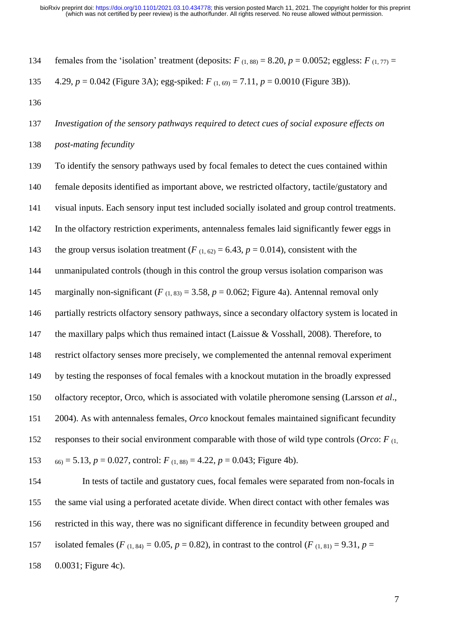134 females from the 'isolation' treatment (deposits:  $F(1,88) = 8.20$ ,  $p = 0.0052$ ; eggless:  $F(1,77) =$ 4.29, *p* = 0.042 (Figure 3A); egg-spiked: *F* (1, 69) = 7.11, *p* = 0.0010 (Figure 3B)).

 *Investigation of the sensory pathways required to detect cues of social exposure effects on post-mating fecundity*

 To identify the sensory pathways used by focal females to detect the cues contained within female deposits identified as important above, we restricted olfactory, tactile/gustatory and visual inputs. Each sensory input test included socially isolated and group control treatments. In the olfactory restriction experiments, antennaless females laid significantly fewer eggs in 143 the group versus isolation treatment  $(F_{(1, 62)} = 6.43, p = 0.014)$ , consistent with the unmanipulated controls (though in this control the group versus isolation comparison was 145 marginally non-significant  $(F_{(1, 83)} = 3.58, p = 0.062;$  Figure 4a). Antennal removal only partially restricts olfactory sensory pathways, since a secondary olfactory system is located in 147 the maxillary palps which thus remained intact (Laissue & Vosshall, 2008). Therefore, to restrict olfactory senses more precisely, we complemented the antennal removal experiment by testing the responses of focal females with a knockout mutation in the broadly expressed olfactory receptor, Orco, which is associated with volatile pheromone sensing (Larsson *et al*., 2004). As with antennaless females, *Orco* knockout females maintained significant fecundity responses to their social environment comparable with those of wild type controls (*Orco*: *F* (1,  $\epsilon_{60} = 5.13, p = 0.027$ , control:  $F_{(1, 88)} = 4.22, p = 0.043$ ; Figure 4b).

 In tests of tactile and gustatory cues, focal females were separated from non-focals in the same vial using a perforated acetate divide. When direct contact with other females was restricted in this way, there was no significant difference in fecundity between grouped and 157 isolated females ( $F_{(1, 84)} = 0.05$ ,  $p = 0.82$ ), in contrast to the control ( $F_{(1, 81)} = 9.31$ ,  $p =$ 0.0031; Figure 4c).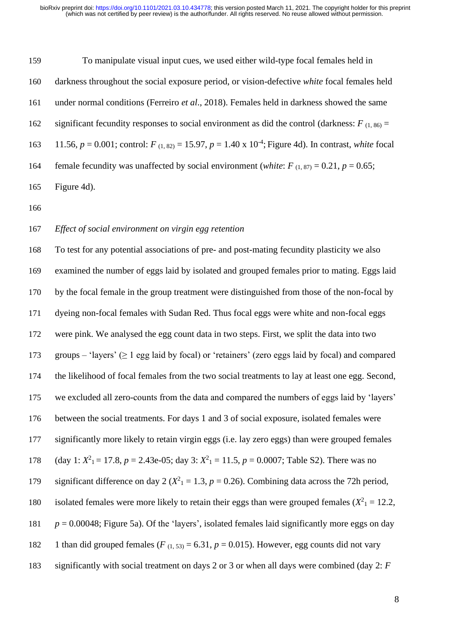To manipulate visual input cues, we used either wild-type focal females held in darkness throughout the social exposure period, or vision-defective *white* focal females held under normal conditions (Ferreiro *et al*., 2018). Females held in darkness showed the same 162 significant fecundity responses to social environment as did the control (darkness:  $F_{(1, 86)} =$ 163 11.56,  $p = 0.001$ ; control:  $F_{(1, 82)} = 15.97$ ,  $p = 1.40 \times 10^{-4}$ ; Figure 4d). In contrast, *white* focal 164 female fecundity was unaffected by social environment (*white*:  $F_{(1, 87)} = 0.21$ ,  $p = 0.65$ ; Figure 4d).

## *Effect of social environment on virgin egg retention*

 To test for any potential associations of pre- and post-mating fecundity plasticity we also examined the number of eggs laid by isolated and grouped females prior to mating. Eggs laid by the focal female in the group treatment were distinguished from those of the non-focal by dyeing non-focal females with Sudan Red. Thus focal eggs were white and non-focal eggs were pink. We analysed the egg count data in two steps. First, we split the data into two groups – 'layers' (≥ 1 egg laid by focal) or 'retainers' (zero eggs laid by focal) and compared the likelihood of focal females from the two social treatments to lay at least one egg. Second, we excluded all zero-counts from the data and compared the numbers of eggs laid by 'layers' between the social treatments. For days 1 and 3 of social exposure, isolated females were significantly more likely to retain virgin eggs (i.e. lay zero eggs) than were grouped females 178 (day 1:  $X^2$ <sub>1</sub> = 17.8, *p* = 2.43e-05; day 3:  $X^2$ <sub>1</sub> = 11.5, *p* = 0.0007; Table S2). There was no 179 significant difference on day 2 ( $X^2$ <sub>1</sub> = 1.3, *p* = 0.26). Combining data across the 72h period, 180 isolated females were more likely to retain their eggs than were grouped females  $(X^2) = 12.2$ ,  $p = 0.00048$ ; Figure 5a). Of the 'layers', isolated females laid significantly more eggs on day 182 1 than did grouped females ( $F_{(1, 53)} = 6.31$ ,  $p = 0.015$ ). However, egg counts did not vary significantly with social treatment on days 2 or 3 or when all days were combined (day 2: *F*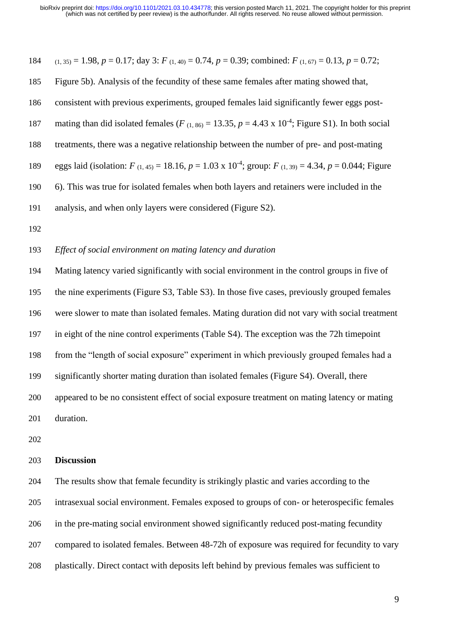184 
$$
(1,35) = 1.98
$$
,  $p = 0.17$ ; day 3:  $F_{(1,40)} = 0.74$ ,  $p = 0.39$ ; combined:  $F_{(1,67)} = 0.13$ ,  $p = 0.72$ ;

 Figure 5b). Analysis of the fecundity of these same females after mating showed that, consistent with previous experiments, grouped females laid significantly fewer eggs post-187 mating than did isolated females ( $F_{(1, 86)} = 13.35$ ,  $p = 4.43 \times 10^{-4}$ ; Figure S1). In both social treatments, there was a negative relationship between the number of pre- and post-mating 189 eggs laid (isolation:  $F_{(1,45)} = 18.16$ ,  $p = 1.03 \times 10^{-4}$ ; group:  $F_{(1,39)} = 4.34$ ,  $p = 0.044$ ; Figure 6). This was true for isolated females when both layers and retainers were included in the analysis, and when only layers were considered (Figure S2).

#### *Effect of social environment on mating latency and duration*

 Mating latency varied significantly with social environment in the control groups in five of the nine experiments (Figure S3, Table S3). In those five cases, previously grouped females were slower to mate than isolated females. Mating duration did not vary with social treatment in eight of the nine control experiments (Table S4). The exception was the 72h timepoint from the "length of social exposure" experiment in which previously grouped females had a significantly shorter mating duration than isolated females (Figure S4). Overall, there appeared to be no consistent effect of social exposure treatment on mating latency or mating duration.

#### **Discussion**

 The results show that female fecundity is strikingly plastic and varies according to the intrasexual social environment. Females exposed to groups of con- or heterospecific females in the pre-mating social environment showed significantly reduced post-mating fecundity compared to isolated females. Between 48-72h of exposure was required for fecundity to vary plastically. Direct contact with deposits left behind by previous females was sufficient to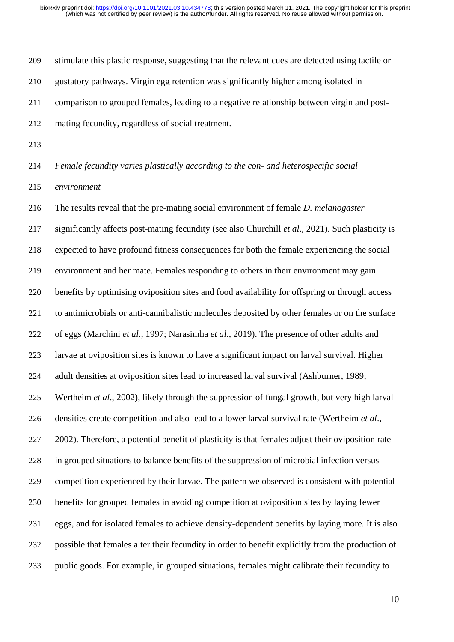stimulate this plastic response, suggesting that the relevant cues are detected using tactile or gustatory pathways. Virgin egg retention was significantly higher among isolated in comparison to grouped females, leading to a negative relationship between virgin and post-mating fecundity, regardless of social treatment.

*Female fecundity varies plastically according to the con- and heterospecific social* 

*environment*

 The results reveal that the pre-mating social environment of female *D. melanogaster* significantly affects post-mating fecundity (see also Churchill *et al*., 2021). Such plasticity is expected to have profound fitness consequences for both the female experiencing the social environment and her mate. Females responding to others in their environment may gain benefits by optimising oviposition sites and food availability for offspring or through access to antimicrobials or anti-cannibalistic molecules deposited by other females or on the surface of eggs (Marchini *et al*., 1997; Narasimha *et al*., 2019). The presence of other adults and larvae at oviposition sites is known to have a significant impact on larval survival. Higher adult densities at oviposition sites lead to increased larval survival (Ashburner, 1989; Wertheim *et al*., 2002), likely through the suppression of fungal growth, but very high larval densities create competition and also lead to a lower larval survival rate (Wertheim *et al*., 2002). Therefore, a potential benefit of plasticity is that females adjust their oviposition rate in grouped situations to balance benefits of the suppression of microbial infection versus competition experienced by their larvae. The pattern we observed is consistent with potential benefits for grouped females in avoiding competition at oviposition sites by laying fewer eggs, and for isolated females to achieve density-dependent benefits by laying more. It is also possible that females alter their fecundity in order to benefit explicitly from the production of public goods. For example, in grouped situations, females might calibrate their fecundity to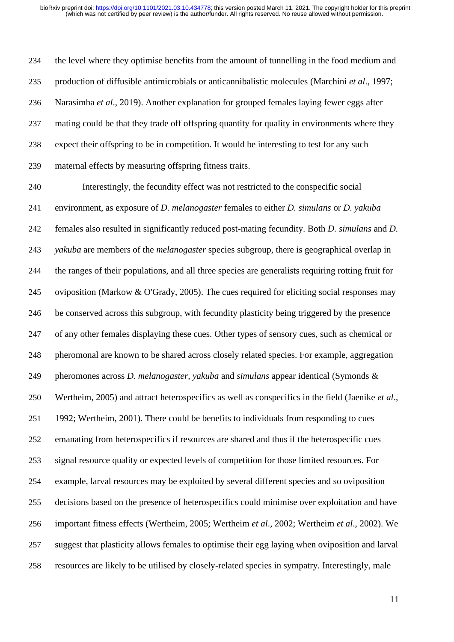the level where they optimise benefits from the amount of tunnelling in the food medium and production of diffusible antimicrobials or anticannibalistic molecules (Marchini *et al*., 1997; Narasimha *et al*., 2019). Another explanation for grouped females laying fewer eggs after mating could be that they trade off offspring quantity for quality in environments where they expect their offspring to be in competition. It would be interesting to test for any such maternal effects by measuring offspring fitness traits.

 Interestingly, the fecundity effect was not restricted to the conspecific social environment, as exposure of *D. melanogaster* females to either *D. simulans* or *D. yakuba* females also resulted in significantly reduced post-mating fecundity. Both *D. simulans* and *D. yakuba* are members of the *melanogaster* species subgroup, there is geographical overlap in the ranges of their populations, and all three species are generalists requiring rotting fruit for oviposition (Markow & O'Grady, 2005). The cues required for eliciting social responses may be conserved across this subgroup, with fecundity plasticity being triggered by the presence of any other females displaying these cues. Other types of sensory cues, such as chemical or pheromonal are known to be shared across closely related species. For example, aggregation pheromones across *D. melanogaster, yakuba* and *simulans* appear identical (Symonds & Wertheim, 2005) and attract heterospecifics as well as conspecifics in the field (Jaenike *et al*., 1992; Wertheim, 2001). There could be benefits to individuals from responding to cues emanating from heterospecifics if resources are shared and thus if the heterospecific cues signal resource quality or expected levels of competition for those limited resources. For example, larval resources may be exploited by several different species and so oviposition decisions based on the presence of heterospecifics could minimise over exploitation and have important fitness effects (Wertheim, 2005; Wertheim *et al*., 2002; Wertheim *et al*., 2002). We suggest that plasticity allows females to optimise their egg laying when oviposition and larval resources are likely to be utilised by closely-related species in sympatry. Interestingly, male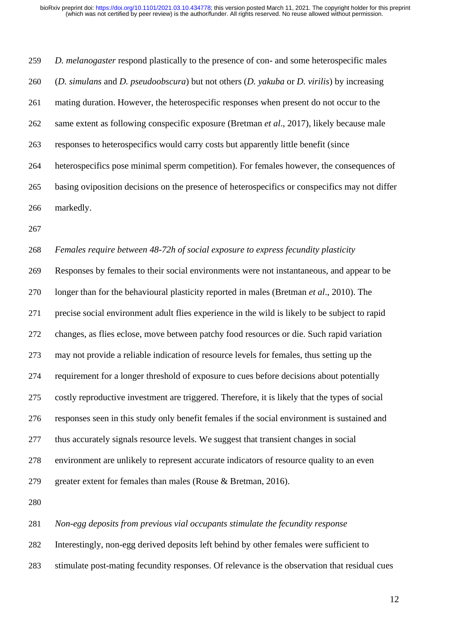*D. melanogaster* respond plastically to the presence of con- and some heterospecific males (*D. simulans* and *D. pseudoobscura*) but not others (*D. yakuba* or *D. virilis*) by increasing mating duration. However, the heterospecific responses when present do not occur to the same extent as following conspecific exposure (Bretman *et al*., 2017), likely because male responses to heterospecifics would carry costs but apparently little benefit (since heterospecifics pose minimal sperm competition). For females however, the consequences of basing oviposition decisions on the presence of heterospecifics or conspecifics may not differ markedly.

#### *Females require between 48-72h of social exposure to express fecundity plasticity*

 Responses by females to their social environments were not instantaneous, and appear to be longer than for the behavioural plasticity reported in males (Bretman *et al*., 2010). The precise social environment adult flies experience in the wild is likely to be subject to rapid changes, as flies eclose, move between patchy food resources or die. Such rapid variation may not provide a reliable indication of resource levels for females, thus setting up the requirement for a longer threshold of exposure to cues before decisions about potentially costly reproductive investment are triggered. Therefore, it is likely that the types of social responses seen in this study only benefit females if the social environment is sustained and thus accurately signals resource levels. We suggest that transient changes in social environment are unlikely to represent accurate indicators of resource quality to an even greater extent for females than males (Rouse & Bretman, 2016).

*Non-egg deposits from previous vial occupants stimulate the fecundity response*

Interestingly, non-egg derived deposits left behind by other females were sufficient to

stimulate post-mating fecundity responses. Of relevance is the observation that residual cues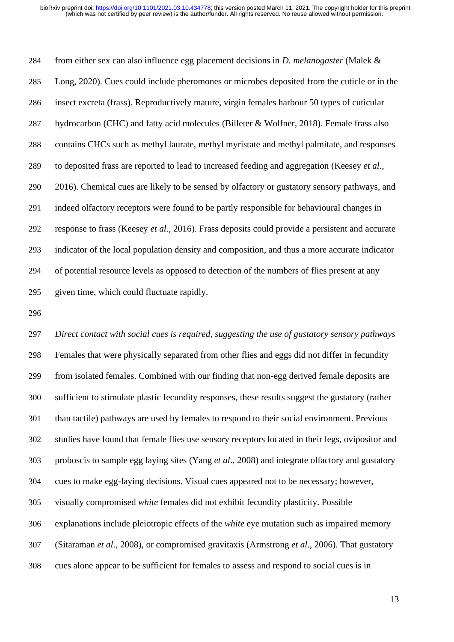from either sex can also influence egg placement decisions in *D. melanogaster* (Malek & Long, 2020). Cues could include pheromones or microbes deposited from the cuticle or in the insect excreta (frass). Reproductively mature, virgin females harbour 50 types of cuticular hydrocarbon (CHC) and fatty acid molecules (Billeter & Wolfner, 2018). Female frass also contains CHCs such as methyl laurate, methyl myristate and methyl palmitate, and responses to deposited frass are reported to lead to increased feeding and aggregation (Keesey *et al*., 2016). Chemical cues are likely to be sensed by olfactory or gustatory sensory pathways, and indeed olfactory receptors were found to be partly responsible for behavioural changes in response to frass (Keesey *et al*., 2016). Frass deposits could provide a persistent and accurate indicator of the local population density and composition, and thus a more accurate indicator of potential resource levels as opposed to detection of the numbers of flies present at any given time, which could fluctuate rapidly.

 *Direct contact with social cues is required, suggesting the use of gustatory sensory pathways* Females that were physically separated from other flies and eggs did not differ in fecundity from isolated females. Combined with our finding that non-egg derived female deposits are sufficient to stimulate plastic fecundity responses, these results suggest the gustatory (rather than tactile) pathways are used by females to respond to their social environment. Previous studies have found that female flies use sensory receptors located in their legs, ovipositor and proboscis to sample egg laying sites (Yang *et al*., 2008) and integrate olfactory and gustatory cues to make egg-laying decisions. Visual cues appeared not to be necessary; however, visually compromised *white* females did not exhibit fecundity plasticity. Possible explanations include pleiotropic effects of the *white* eye mutation such as impaired memory (Sitaraman *et al*., 2008), or compromised gravitaxis (Armstrong *et al*., 2006). That gustatory cues alone appear to be sufficient for females to assess and respond to social cues is in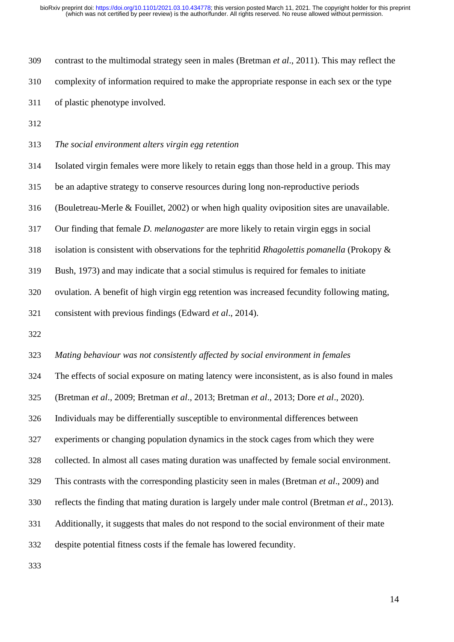contrast to the multimodal strategy seen in males (Bretman *et al*., 2011). This may reflect the complexity of information required to make the appropriate response in each sex or the type of plastic phenotype involved.

*The social environment alters virgin egg retention*

 Isolated virgin females were more likely to retain eggs than those held in a group. This may be an adaptive strategy to conserve resources during long non-reproductive periods (Bouletreau-Merle & Fouillet, 2002) or when high quality oviposition sites are unavailable. Our finding that female *D. melanogaster* are more likely to retain virgin eggs in social isolation is consistent with observations for the tephritid *Rhagolettis pomanella* (Prokopy & Bush, 1973) and may indicate that a social stimulus is required for females to initiate ovulation. A benefit of high virgin egg retention was increased fecundity following mating, consistent with previous findings (Edward *et al*., 2014). 

*Mating behaviour was not consistently affected by social environment in females*

The effects of social exposure on mating latency were inconsistent, as is also found in males

(Bretman *et al*., 2009; Bretman *et al*., 2013; Bretman *et al*., 2013; Dore *et al*., 2020).

Individuals may be differentially susceptible to environmental differences between

experiments or changing population dynamics in the stock cages from which they were

collected. In almost all cases mating duration was unaffected by female social environment.

This contrasts with the corresponding plasticity seen in males (Bretman *et al*., 2009) and

reflects the finding that mating duration is largely under male control (Bretman *et al*., 2013).

Additionally, it suggests that males do not respond to the social environment of their mate

despite potential fitness costs if the female has lowered fecundity.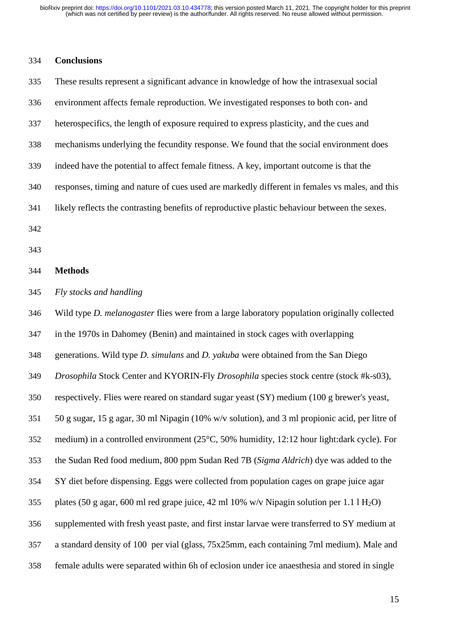### **Conclusions**

 These results represent a significant advance in knowledge of how the intrasexual social environment affects female reproduction. We investigated responses to both con- and heterospecifics, the length of exposure required to express plasticity, and the cues and mechanisms underlying the fecundity response. We found that the social environment does indeed have the potential to affect female fitness. A key, important outcome is that the responses, timing and nature of cues used are markedly different in females vs males, and this likely reflects the contrasting benefits of reproductive plastic behaviour between the sexes.

- 
- 

#### **Methods**

*Fly stocks and handling*

 Wild type *D. melanogaster* flies were from a large laboratory population originally collected in the 1970s in Dahomey (Benin) and maintained in stock cages with overlapping generations. Wild type *D. simulans* and *D. yakuba* were obtained from the San Diego *Drosophila* Stock Center and KYORIN-Fly *Drosophila* species stock centre (stock #k-s03), respectively. Flies were reared on standard sugar yeast (SY) medium (100 g brewer's yeast, 50 g sugar, 15 g agar, 30 ml Nipagin (10% w/v solution), and 3 ml propionic acid, per litre of medium) in a controlled environment (25°C, 50% humidity, 12:12 hour light:dark cycle). For the Sudan Red food medium, 800 ppm Sudan Red 7B (*Sigma Aldrich*) dye was added to the SY diet before dispensing. Eggs were collected from population cages on grape juice agar 355 plates (50 g agar, 600 ml red grape juice, 42 ml 10% w/v Nipagin solution per 1.1 l  $H_2O$ ) supplemented with fresh yeast paste, and first instar larvae were transferred to SY medium at a standard density of 100 per vial (glass, 75x25mm, each containing 7ml medium). Male and female adults were separated within 6h of eclosion under ice anaesthesia and stored in single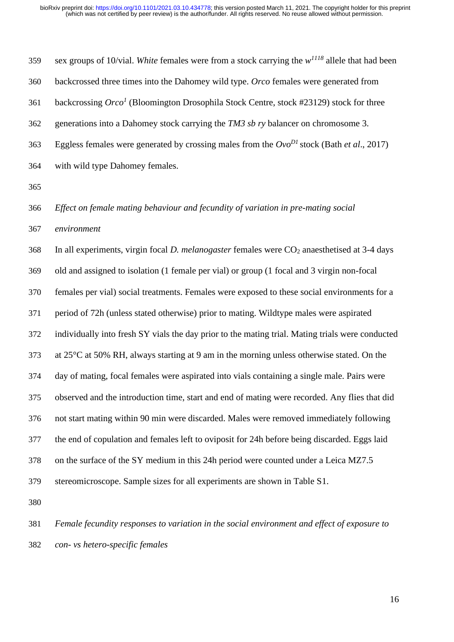| 359 | sex groups of 10/vial. White females were from a stock carrying the $w^{1118}$ allele that had been            |
|-----|----------------------------------------------------------------------------------------------------------------|
| 360 | backcrossed three times into the Dahomey wild type. Orco females were generated from                           |
| 361 | backcrossing $Orco1$ (Bloomington Drosophila Stock Centre, stock #23129) stock for three                       |
| 362 | generations into a Dahomey stock carrying the TM3 sb ry balancer on chromosome 3.                              |
| 363 | Eggless females were generated by crossing males from the $Ovo^{DI}$ stock (Bath et al., 2017)                 |
| 364 | with wild type Dahomey females.                                                                                |
| 365 |                                                                                                                |
| 366 | Effect on female mating behaviour and fecundity of variation in pre-mating social                              |
| 367 | environment                                                                                                    |
| 368 | In all experiments, virgin focal <i>D. melanogaster</i> females were CO <sub>2</sub> anaesthetised at 3-4 days |
| 369 | old and assigned to isolation (1 female per vial) or group (1 focal and 3 virgin non-focal                     |
| 370 | females per vial) social treatments. Females were exposed to these social environments for a                   |
| 371 | period of 72h (unless stated otherwise) prior to mating. Wildtype males were aspirated                         |
| 372 | individually into fresh SY vials the day prior to the mating trial. Mating trials were conducted               |
| 373 | at 25°C at 50% RH, always starting at 9 am in the morning unless otherwise stated. On the                      |
| 374 | day of mating, focal females were aspirated into vials containing a single male. Pairs were                    |
| 375 | observed and the introduction time, start and end of mating were recorded. Any flies that did                  |
| 376 | not start mating within 90 min were discarded. Males were removed immediately following                        |
| 377 | the end of copulation and females left to oviposit for 24h before being discarded. Eggs laid                   |
| 378 | on the surface of the SY medium in this 24h period were counted under a Leica MZ7.5                            |
| 379 | stereomicroscope. Sample sizes for all experiments are shown in Table S1.                                      |
| 380 |                                                                                                                |
| 381 | Female fecundity responses to variation in the social environment and effect of exposure to                    |
|     |                                                                                                                |

*con- vs hetero-specific females*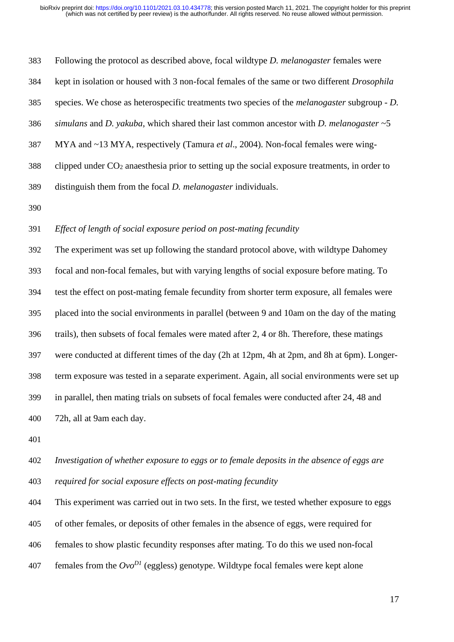Following the protocol as described above, focal wildtype *D. melanogaster* females were kept in isolation or housed with 3 non-focal females of the same or two different *Drosophila* species. We chose as heterospecific treatments two species of the *melanogaster* subgroup - *D. simulans* and *D. yakuba*, which shared their last common ancestor with *D. melanogaster* ~5 MYA and ~13 MYA, respectively (Tamura *et al*., 2004). Non-focal females were wing- clipped under  $CO<sub>2</sub>$  anaesthesia prior to setting up the social exposure treatments, in order to distinguish them from the focal *D. melanogaster* individuals.

## *Effect of length of social exposure period on post-mating fecundity*

 The experiment was set up following the standard protocol above, with wildtype Dahomey focal and non-focal females, but with varying lengths of social exposure before mating. To test the effect on post-mating female fecundity from shorter term exposure, all females were placed into the social environments in parallel (between 9 and 10am on the day of the mating trails), then subsets of focal females were mated after 2, 4 or 8h. Therefore, these matings were conducted at different times of the day (2h at 12pm, 4h at 2pm, and 8h at 6pm). Longer- term exposure was tested in a separate experiment. Again, all social environments were set up in parallel, then mating trials on subsets of focal females were conducted after 24, 48 and 72h, all at 9am each day.

## *Investigation of whether exposure to eggs or to female deposits in the absence of eggs are required for social exposure effects on post-mating fecundity*

 This experiment was carried out in two sets. In the first, we tested whether exposure to eggs of other females, or deposits of other females in the absence of eggs, were required for females to show plastic fecundity responses after mating. To do this we used non-focal 407 females from the  $Ovo^{D}$  (eggless) genotype. Wildtype focal females were kept alone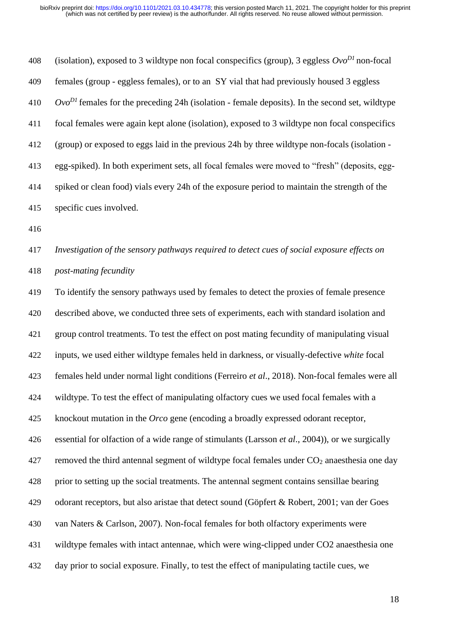(isolation), exposed to 3 wildtype non focal conspecifics (group), 3 eggless  $Ovo^{D1}$  non-focal females (group - eggless females), or to an SY vial that had previously housed 3 eggless  $9v^D$  females for the preceding 24h (isolation - female deposits). In the second set, wildtype focal females were again kept alone (isolation), exposed to 3 wildtype non focal conspecifics (group) or exposed to eggs laid in the previous 24h by three wildtype non-focals (isolation - egg-spiked). In both experiment sets, all focal females were moved to "fresh" (deposits, egg- spiked or clean food) vials every 24h of the exposure period to maintain the strength of the specific cues involved.

# *Investigation of the sensory pathways required to detect cues of social exposure effects on post-mating fecundity*

 To identify the sensory pathways used by females to detect the proxies of female presence described above, we conducted three sets of experiments, each with standard isolation and group control treatments. To test the effect on post mating fecundity of manipulating visual inputs, we used either wildtype females held in darkness, or visually-defective *white* focal females held under normal light conditions (Ferreiro *et al*., 2018). Non-focal females were all wildtype. To test the effect of manipulating olfactory cues we used focal females with a knockout mutation in the *Orco* gene (encoding a broadly expressed odorant receptor, essential for olfaction of a wide range of stimulants (Larsson *et al*., 2004)), or we surgically 427 removed the third antennal segment of wildtype focal females under  $CO<sub>2</sub>$  anaesthesia one day prior to setting up the social treatments. The antennal segment contains sensillae bearing odorant receptors, but also aristae that detect sound (Göpfert & Robert, 2001; van der Goes van Naters & Carlson, 2007). Non-focal females for both olfactory experiments were wildtype females with intact antennae, which were wing-clipped under CO2 anaesthesia one day prior to social exposure. Finally, to test the effect of manipulating tactile cues, we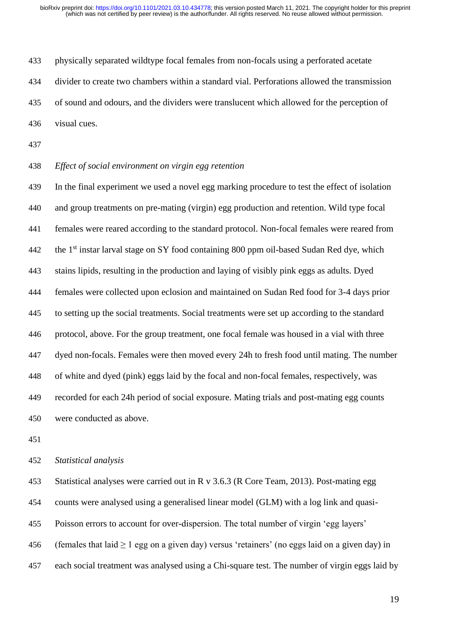physically separated wildtype focal females from non-focals using a perforated acetate divider to create two chambers within a standard vial. Perforations allowed the transmission of sound and odours, and the dividers were translucent which allowed for the perception of visual cues.

## *Effect of social environment on virgin egg retention*

 In the final experiment we used a novel egg marking procedure to test the effect of isolation and group treatments on pre-mating (virgin) egg production and retention. Wild type focal females were reared according to the standard protocol. Non-focal females were reared from 442 the  $1<sup>st</sup>$  instar larval stage on SY food containing 800 ppm oil-based Sudan Red dye, which stains lipids, resulting in the production and laying of visibly pink eggs as adults. Dyed females were collected upon eclosion and maintained on Sudan Red food for 3-4 days prior to setting up the social treatments. Social treatments were set up according to the standard protocol, above. For the group treatment, one focal female was housed in a vial with three dyed non-focals. Females were then moved every 24h to fresh food until mating. The number of white and dyed (pink) eggs laid by the focal and non-focal females, respectively, was recorded for each 24h period of social exposure. Mating trials and post-mating egg counts were conducted as above.

#### *Statistical analysis*

 Statistical analyses were carried out in R v 3.6.3 (R Core Team, 2013). Post-mating egg counts were analysed using a generalised linear model (GLM) with a log link and quasi- Poisson errors to account for over-dispersion. The total number of virgin 'egg layers' 456 (females that laid  $\geq 1$  egg on a given day) versus 'retainers' (no eggs laid on a given day) in each social treatment was analysed using a Chi-square test. The number of virgin eggs laid by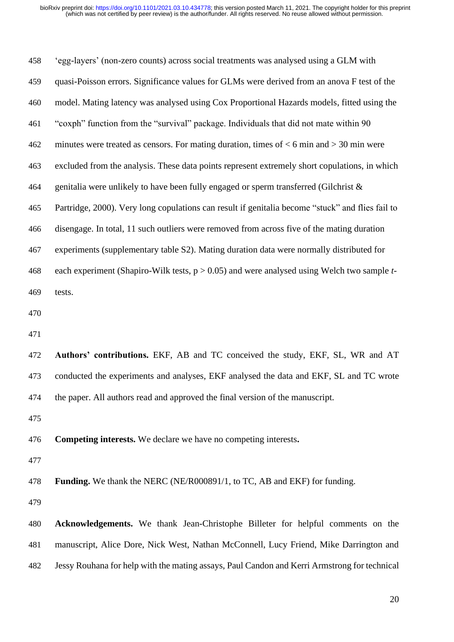'egg-layers' (non-zero counts) across social treatments was analysed using a GLM with quasi-Poisson errors. Significance values for GLMs were derived from an anova F test of the model. Mating latency was analysed using Cox Proportional Hazards models, fitted using the "coxph" function from the "survival" package. Individuals that did not mate within 90 minutes were treated as censors. For mating duration, times of < 6 min and > 30 min were excluded from the analysis. These data points represent extremely short copulations, in which 464 genitalia were unlikely to have been fully engaged or sperm transferred (Gilchrist  $\&$  Partridge, 2000). Very long copulations can result if genitalia become "stuck" and flies fail to disengage. In total, 11 such outliers were removed from across five of the mating duration experiments (supplementary table S2). Mating duration data were normally distributed for each experiment (Shapiro-Wilk tests, p > 0.05) and were analysed using Welch two sample *t*- tests. **Authors' contributions.** EKF, AB and TC conceived the study, EKF, SL, WR and AT conducted the experiments and analyses, EKF analysed the data and EKF, SL and TC wrote the paper. All authors read and approved the final version of the manuscript. **Competing interests.** We declare we have no competing interests**. Funding.** We thank the NERC (NE/R000891/1, to TC, AB and EKF) for funding. **Acknowledgements.** We thank Jean-Christophe Billeter for helpful comments on the manuscript, Alice Dore, Nick West, Nathan McConnell, Lucy Friend, Mike Darrington and

Jessy Rouhana for help with the mating assays, Paul Candon and Kerri Armstrong for technical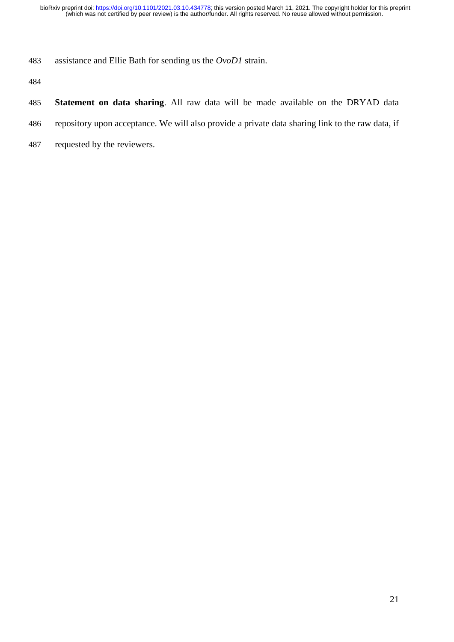assistance and Ellie Bath for sending us the *OvoD1* strain.

- **Statement on data sharing**. All raw data will be made available on the DRYAD data
- repository upon acceptance. We will also provide a private data sharing link to the raw data, if
- requested by the reviewers.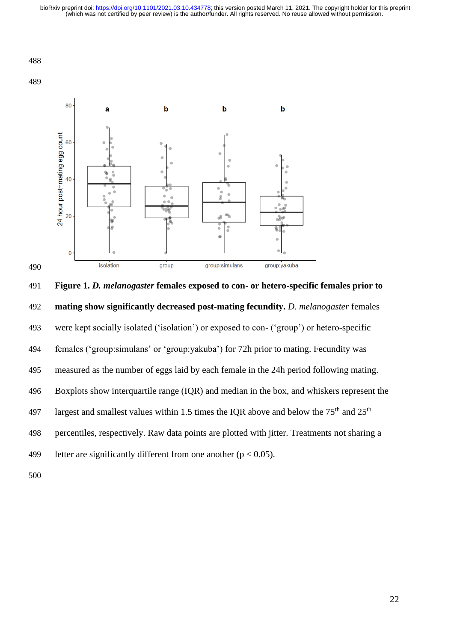#### 



 **Figure 1.** *D. melanogaster* **females exposed to con- or hetero-specific females prior to mating show significantly decreased post-mating fecundity.** *D. melanogaster* females were kept socially isolated ('isolation') or exposed to con- ('group') or hetero-specific females ('group:simulans' or 'group:yakuba') for 72h prior to mating. Fecundity was measured as the number of eggs laid by each female in the 24h period following mating. Boxplots show interquartile range (IQR) and median in the box, and whiskers represent the 197 largest and smallest values within 1.5 times the IQR above and below the  $75<sup>th</sup>$  and  $25<sup>th</sup>$  percentiles, respectively. Raw data points are plotted with jitter. Treatments not sharing a 499 letter are significantly different from one another  $(p < 0.05)$ .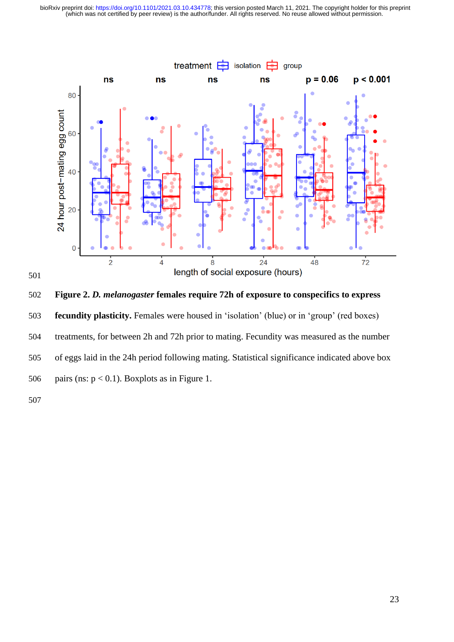



**Figure 2.** *D. melanogaster* **females require 72h of exposure to conspecifics to express** 

- **fecundity plasticity.** Females were housed in 'isolation' (blue) or in 'group' (red boxes)
- treatments, for between 2h and 72h prior to mating. Fecundity was measured as the number
- of eggs laid in the 24h period following mating. Statistical significance indicated above box
- 506 pairs (ns:  $p < 0.1$ ). Boxplots as in Figure 1.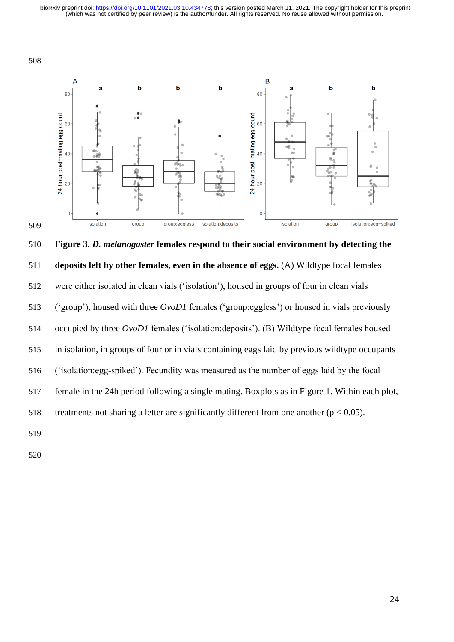



 **Figure 3.** *D. melanogaster* **females respond to their social environment by detecting the deposits left by other females, even in the absence of eggs.** (A) Wildtype focal females were either isolated in clean vials ('isolation'), housed in groups of four in clean vials ('group'), housed with three *OvoD1* females ('group:eggless') or housed in vials previously occupied by three *OvoD1* females ('isolation:deposits'). (B) Wildtype focal females housed in isolation, in groups of four or in vials containing eggs laid by previous wildtype occupants ('isolation:egg-spiked'). Fecundity was measured as the number of eggs laid by the focal female in the 24h period following a single mating. Boxplots as in Figure 1. Within each plot, 518 treatments not sharing a letter are significantly different from one another ( $p < 0.05$ ).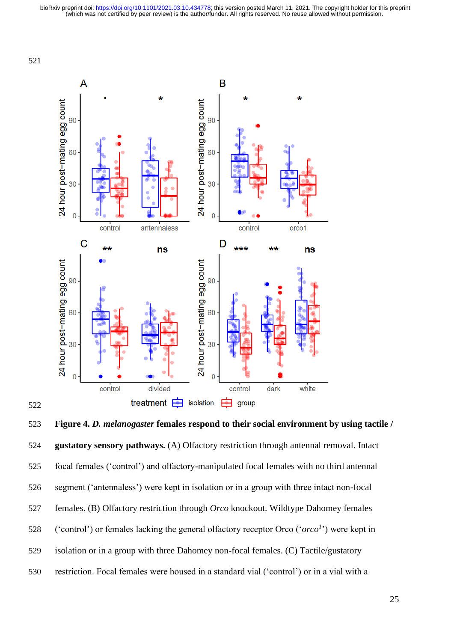

 **Figure 4.** *D. melanogaster* **females respond to their social environment by using tactile / gustatory sensory pathways.** (A) Olfactory restriction through antennal removal. Intact focal females ('control') and olfactory-manipulated focal females with no third antennal segment ('antennaless') were kept in isolation or in a group with three intact non-focal females. (B) Olfactory restriction through *Orco* knockout. Wildtype Dahomey females 528 ('control') or females lacking the general olfactory receptor Orco (' $\alpha r c \sigma$ <sup>1</sup>') were kept in isolation or in a group with three Dahomey non-focal females. (C) Tactile/gustatory restriction. Focal females were housed in a standard vial ('control') or in a vial with a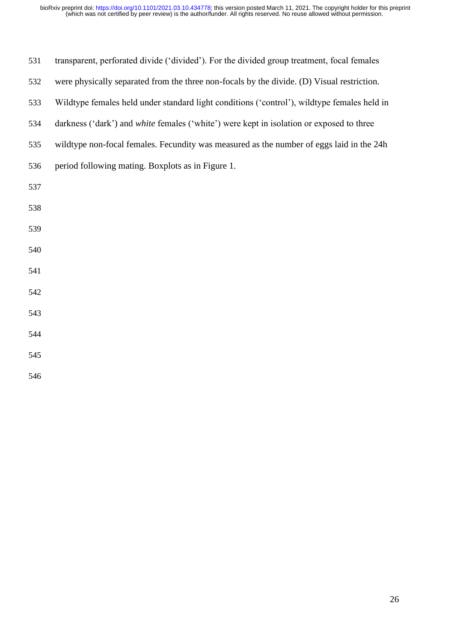| 531 | transparent, perforated divide ('divided'). For the divided group treatment, focal females  |
|-----|---------------------------------------------------------------------------------------------|
| 532 | were physically separated from the three non-focals by the divide. (D) Visual restriction.  |
| 533 | Wildtype females held under standard light conditions ('control'), wildtype females held in |
| 534 | darkness ('dark') and white females ('white') were kept in isolation or exposed to three    |
| 535 | wildtype non-focal females. Fecundity was measured as the number of eggs laid in the 24h    |
| 536 | period following mating. Boxplots as in Figure 1.                                           |
| 537 |                                                                                             |
| 538 |                                                                                             |
| 539 |                                                                                             |
| 540 |                                                                                             |
| 541 |                                                                                             |
| 542 |                                                                                             |
| 543 |                                                                                             |
| 544 |                                                                                             |
| 545 |                                                                                             |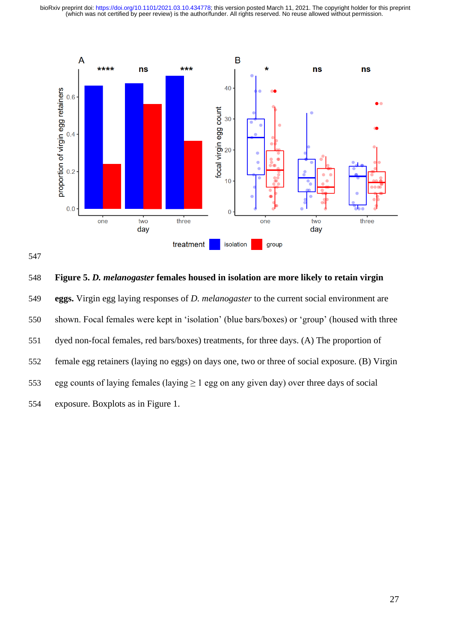



 **Figure 5.** *D. melanogaster* **females housed in isolation are more likely to retain virgin eggs.** Virgin egg laying responses of *D. melanogaster* to the current social environment are shown. Focal females were kept in 'isolation' (blue bars/boxes) or 'group' (housed with three dyed non-focal females, red bars/boxes) treatments, for three days. (A) The proportion of female egg retainers (laying no eggs) on days one, two or three of social exposure. (B) Virgin 553 egg counts of laying females (laying  $\geq 1$  egg on any given day) over three days of social exposure. Boxplots as in Figure 1.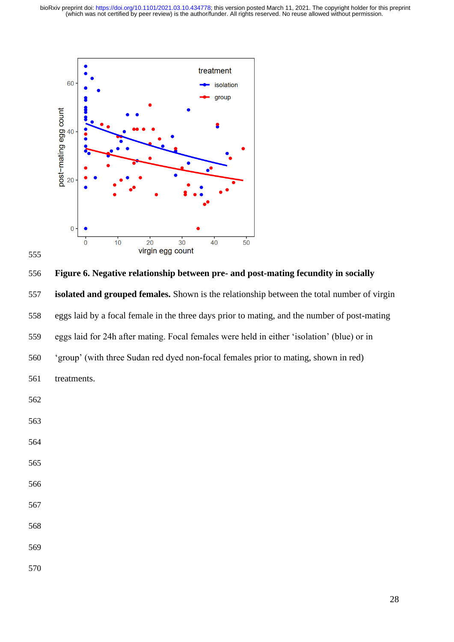

 **Figure 6. Negative relationship between pre- and post-mating fecundity in socially isolated and grouped females.** Shown is the relationship between the total number of virgin eggs laid by a focal female in the three days prior to mating, and the number of post-mating eggs laid for 24h after mating. Focal females were held in either 'isolation' (blue) or in 'group' (with three Sudan red dyed non-focal females prior to mating, shown in red) treatments.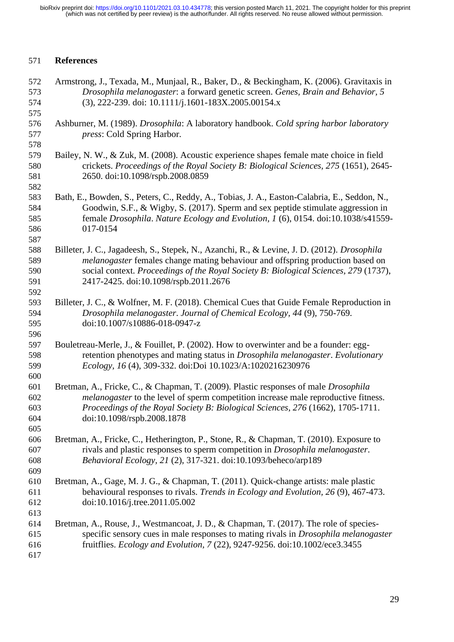## **References**

 Armstrong, J., Texada, M., Munjaal, R., Baker, D., & Beckingham, K. (2006). Gravitaxis in *Drosophila melanogaster*: a forward genetic screen. *Genes, Brain and Behavior, 5* (3), 222-239. doi: 10.1111/j.1601-183X.2005.00154.x Ashburner, M. (1989). *Drosophila*: A laboratory handbook. *Cold spring harbor laboratory press*: Cold Spring Harbor. Bailey, N. W., & Zuk, M. (2008). Acoustic experience shapes female mate choice in field crickets. *Proceedings of the Royal Society B: Biological Sciences, 275* (1651), 2645- 2650. doi:10.1098/rspb.2008.0859 Bath, E., Bowden, S., Peters, C., Reddy, A., Tobias, J. A., Easton-Calabria, E., Seddon, N., Goodwin, S.F., & Wigby, S. (2017). Sperm and sex peptide stimulate aggression in female *Drosophila*. *Nature Ecology and Evolution, 1* (6), 0154. doi:10.1038/s41559- 017-0154 Billeter, J. C., Jagadeesh, S., Stepek, N., Azanchi, R., & Levine, J. D. (2012). *Drosophila melanogaster* females change mating behaviour and offspring production based on social context. *Proceedings of the Royal Society B: Biological Sciences, 279* (1737), 2417-2425. doi:10.1098/rspb.2011.2676 Billeter, J. C., & Wolfner, M. F. (2018). Chemical Cues that Guide Female Reproduction in *Drosophila melanogaster*. *Journal of Chemical Ecology, 44* (9), 750-769. doi:10.1007/s10886-018-0947-z Bouletreau-Merle, J., & Fouillet, P. (2002). How to overwinter and be a founder: egg- retention phenotypes and mating status in *Drosophila melanogaster*. *Evolutionary Ecology, 16* (4), 309-332. doi:Doi 10.1023/A:1020216230976 Bretman, A., Fricke, C., & Chapman, T. (2009). Plastic responses of male *Drosophila melanogaster* to the level of sperm competition increase male reproductive fitness. *Proceedings of the Royal Society B: Biological Sciences, 276* (1662), 1705-1711. doi:10.1098/rspb.2008.1878 Bretman, A., Fricke, C., Hetherington, P., Stone, R., & Chapman, T. (2010). Exposure to rivals and plastic responses to sperm competition in *Drosophila melanogaster*. *Behavioral Ecology, 21* (2), 317-321. doi:10.1093/beheco/arp189 Bretman, A., Gage, M. J. G., & Chapman, T. (2011). Quick-change artists: male plastic behavioural responses to rivals. *Trends in Ecology and Evolution, 26* (9), 467-473. doi:10.1016/j.tree.2011.05.002 Bretman, A., Rouse, J., Westmancoat, J. D., & Chapman, T. (2017). The role of species- specific sensory cues in male responses to mating rivals in *Drosophila melanogaster* fruitflies. *Ecology and Evolution, 7* (22), 9247-9256. doi:10.1002/ece3.3455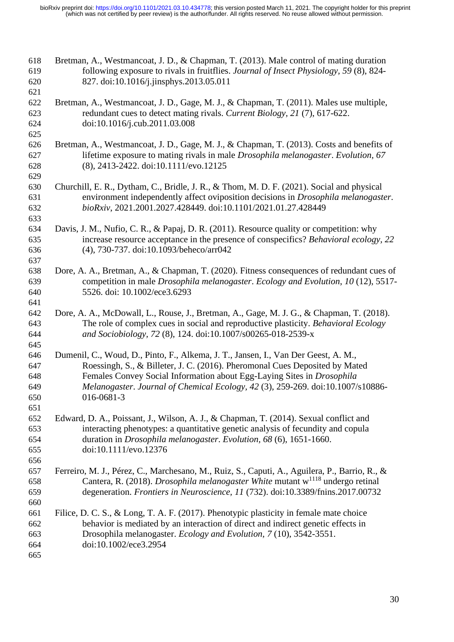| 618<br>619<br>620                      | Bretman, A., Westmancoat, J. D., & Chapman, T. (2013). Male control of mating duration<br>following exposure to rivals in fruitflies. Journal of Insect Physiology, 59 (8), 824-<br>827. doi:10.1016/j.jinsphys.2013.05.011                                                                                                                  |
|----------------------------------------|----------------------------------------------------------------------------------------------------------------------------------------------------------------------------------------------------------------------------------------------------------------------------------------------------------------------------------------------|
| 621<br>622<br>623<br>624<br>625        | Bretman, A., Westmancoat, J. D., Gage, M. J., & Chapman, T. (2011). Males use multiple,<br>redundant cues to detect mating rivals. Current Biology, 21 (7), 617-622.<br>doi:10.1016/j.cub.2011.03.008                                                                                                                                        |
| 626<br>627<br>628<br>629               | Bretman, A., Westmancoat, J. D., Gage, M. J., & Chapman, T. (2013). Costs and benefits of<br>lifetime exposure to mating rivals in male <i>Drosophila melanogaster</i> . Evolution, 67<br>(8), 2413-2422. doi:10.1111/evo.12125                                                                                                              |
| 630<br>631<br>632<br>633               | Churchill, E. R., Dytham, C., Bridle, J. R., & Thom, M. D. F. (2021). Social and physical<br>environment independently affect oviposition decisions in <i>Drosophila melanogaster</i> .<br>bioRxiv, 2021.2001.2027.428449. doi:10.1101/2021.01.27.428449                                                                                     |
| 634<br>635<br>636<br>637               | Davis, J. M., Nufio, C. R., & Papaj, D. R. (2011). Resource quality or competition: why<br>increase resource acceptance in the presence of conspecifics? Behavioral ecology, 22<br>(4), 730-737. doi:10.1093/beheco/arr042                                                                                                                   |
| 638<br>639<br>640<br>641               | Dore, A. A., Bretman, A., & Chapman, T. (2020). Fitness consequences of redundant cues of<br>competition in male Drosophila melanogaster. Ecology and Evolution, 10 (12), 5517-<br>5526. doi: 10.1002/ece3.6293                                                                                                                              |
| 642<br>643<br>644<br>645               | Dore, A. A., McDowall, L., Rouse, J., Bretman, A., Gage, M. J. G., & Chapman, T. (2018).<br>The role of complex cues in social and reproductive plasticity. Behavioral Ecology<br>and Sociobiology, 72 (8), 124. doi:10.1007/s00265-018-2539-x                                                                                               |
| 646<br>647<br>648<br>649<br>650<br>651 | Dumenil, C., Woud, D., Pinto, F., Alkema, J. T., Jansen, I., Van Der Geest, A. M.,<br>Roessingh, S., & Billeter, J. C. (2016). Pheromonal Cues Deposited by Mated<br>Females Convey Social Information about Egg-Laying Sites in Drosophila<br>Melanogaster. Journal of Chemical Ecology, 42 (3), 259-269. doi:10.1007/s10886-<br>016-0681-3 |
| 652<br>653<br>654<br>655               | Edward, D. A., Poissant, J., Wilson, A. J., & Chapman, T. (2014). Sexual conflict and<br>interacting phenotypes: a quantitative genetic analysis of fecundity and copula<br>duration in <i>Drosophila melanogaster. Evolution</i> , 68 (6), 1651-1660.<br>doi:10.1111/evo.12376                                                              |
| 656<br>657<br>658<br>659<br>660        | Ferreiro, M. J., Pérez, C., Marchesano, M., Ruiz, S., Caputi, A., Aguilera, P., Barrio, R., &<br>Cantera, R. (2018). <i>Drosophila melanogaster White</i> mutant $w^{1118}$ undergo retinal<br>degeneration. Frontiers in Neuroscience, 11 (732). doi:10.3389/fnins.2017.00732                                                               |
| 661<br>662<br>663<br>664<br>665        | Filice, D. C. S., & Long, T. A. F. (2017). Phenotypic plasticity in female mate choice<br>behavior is mediated by an interaction of direct and indirect genetic effects in<br>Drosophila melanogaster. Ecology and Evolution, 7 (10), 3542-3551.<br>doi:10.1002/ece3.2954                                                                    |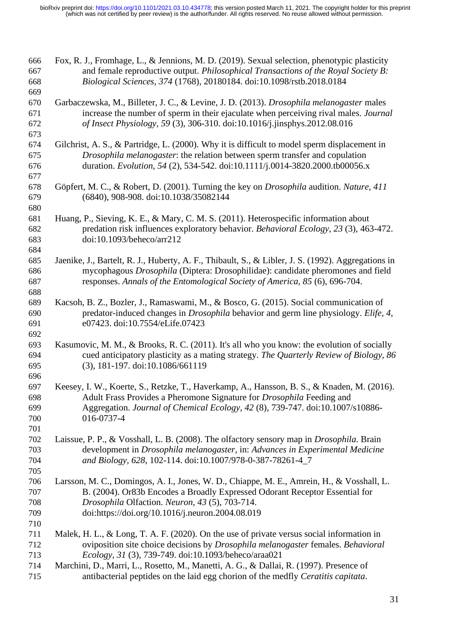| 666<br>667<br>668 | Fox, R. J., Fromhage, L., & Jennions, M. D. (2019). Sexual selection, phenotypic plasticity<br>and female reproductive output. Philosophical Transactions of the Royal Society B:<br>Biological Sciences, 374 (1768), 20180184. doi:10.1098/rstb.2018.0184 |
|-------------------|------------------------------------------------------------------------------------------------------------------------------------------------------------------------------------------------------------------------------------------------------------|
| 669               |                                                                                                                                                                                                                                                            |
| 670               | Garbaczewska, M., Billeter, J. C., & Levine, J. D. (2013). Drosophila melanogaster males                                                                                                                                                                   |
| 671               | increase the number of sperm in their ejaculate when perceiving rival males. Journal                                                                                                                                                                       |
| 672               | of Insect Physiology, 59 (3), 306-310. doi:10.1016/j.jinsphys.2012.08.016                                                                                                                                                                                  |
| 673               |                                                                                                                                                                                                                                                            |
| 674               | Gilchrist, A. S., & Partridge, L. (2000). Why it is difficult to model sperm displacement in                                                                                                                                                               |
| 675               |                                                                                                                                                                                                                                                            |
|                   | Drosophila melanogaster: the relation between sperm transfer and copulation<br>duration. Evolution, 54 (2), 534-542. doi:10.1111/j.0014-3820.2000.tb00056.x                                                                                                |
| 676               |                                                                                                                                                                                                                                                            |
| 677               |                                                                                                                                                                                                                                                            |
| 678               | Göpfert, M. C., & Robert, D. (2001). Turning the key on <i>Drosophila</i> audition. Nature, 411                                                                                                                                                            |
| 679               | (6840), 908-908. doi:10.1038/35082144                                                                                                                                                                                                                      |
| 680               |                                                                                                                                                                                                                                                            |
| 681               | Huang, P., Sieving, K. E., & Mary, C. M. S. (2011). Heterospecific information about                                                                                                                                                                       |
| 682               | predation risk influences exploratory behavior. Behavioral Ecology, 23 (3), 463-472.                                                                                                                                                                       |
| 683               | doi:10.1093/beheco/arr212                                                                                                                                                                                                                                  |
| 684               |                                                                                                                                                                                                                                                            |
| 685               | Jaenike, J., Bartelt, R. J., Huberty, A. F., Thibault, S., & Libler, J. S. (1992). Aggregations in                                                                                                                                                         |
| 686               | mycophagous Drosophila (Diptera: Drosophilidae): candidate pheromones and field                                                                                                                                                                            |
| 687               | responses. Annals of the Entomological Society of America, 85 (6), 696-704.                                                                                                                                                                                |
| 688<br>689        | Kacsoh, B. Z., Bozler, J., Ramaswami, M., & Bosco, G. (2015). Social communication of                                                                                                                                                                      |
| 690               | predator-induced changes in <i>Drosophila</i> behavior and germ line physiology. Elife, 4,                                                                                                                                                                 |
| 691               | e07423. doi:10.7554/eLife.07423                                                                                                                                                                                                                            |
| 692               |                                                                                                                                                                                                                                                            |
| 693               | Kasumovic, M. M., & Brooks, R. C. (2011). It's all who you know: the evolution of socially                                                                                                                                                                 |
| 694               | cued anticipatory plasticity as a mating strategy. The Quarterly Review of Biology, 86                                                                                                                                                                     |
| 695               | (3), 181-197. doi:10.1086/661119                                                                                                                                                                                                                           |
| 696               |                                                                                                                                                                                                                                                            |
| 697               | Keesey, I. W., Koerte, S., Retzke, T., Haverkamp, A., Hansson, B. S., & Knaden, M. (2016).                                                                                                                                                                 |
| 698               | Adult Frass Provides a Pheromone Signature for Drosophila Feeding and                                                                                                                                                                                      |
| 699               | Aggregation. Journal of Chemical Ecology, 42 (8), 739-747. doi:10.1007/s10886-                                                                                                                                                                             |
| 700               | 016-0737-4                                                                                                                                                                                                                                                 |
| 701               |                                                                                                                                                                                                                                                            |
| 702               | Laissue, P. P., & Vosshall, L. B. (2008). The olfactory sensory map in <i>Drosophila</i> . Brain                                                                                                                                                           |
| 703               | development in Drosophila melanogaster, in: Advances in Experimental Medicine                                                                                                                                                                              |
| 704               | and Biology, 628, 102-114. doi:10.1007/978-0-387-78261-4_7                                                                                                                                                                                                 |
| 705               |                                                                                                                                                                                                                                                            |
| 706               | Larsson, M. C., Domingos, A. I., Jones, W. D., Chiappe, M. E., Amrein, H., & Vosshall, L.                                                                                                                                                                  |
| 707               | B. (2004). Or83b Encodes a Broadly Expressed Odorant Receptor Essential for                                                                                                                                                                                |
| 708               | Drosophila Olfaction. Neuron, 43 (5), 703-714.                                                                                                                                                                                                             |
| 709               | doi:https://doi.org/10.1016/j.neuron.2004.08.019                                                                                                                                                                                                           |
| 710               |                                                                                                                                                                                                                                                            |
| 711               | Malek, H. L., & Long, T. A. F. (2020). On the use of private versus social information in                                                                                                                                                                  |
| 712               | oviposition site choice decisions by Drosophila melanogaster females. Behavioral                                                                                                                                                                           |
| 713               | Ecology, 31 (3), 739-749. doi:10.1093/beheco/araa021                                                                                                                                                                                                       |
| 714               | Marchini, D., Marri, L., Rosetto, M., Manetti, A. G., & Dallai, R. (1997). Presence of                                                                                                                                                                     |
| 715               | antibacterial peptides on the laid egg chorion of the medfly Ceratitis capitata.                                                                                                                                                                           |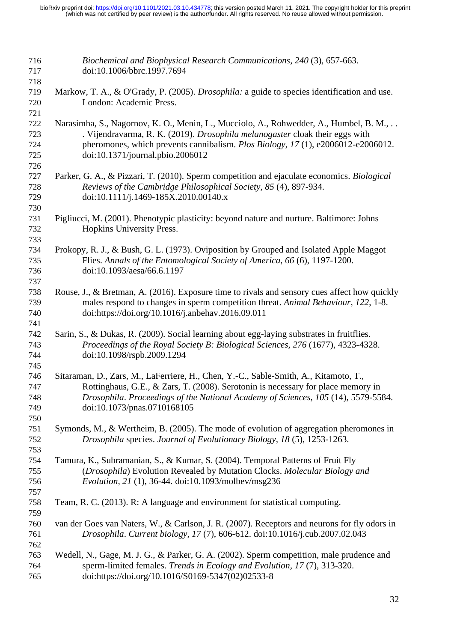| 716<br>717<br>718               | Biochemical and Biophysical Research Communications, 240 (3), 657-663.<br>doi:10.1006/bbrc.1997.7694                                                                                                                                                                                          |
|---------------------------------|-----------------------------------------------------------------------------------------------------------------------------------------------------------------------------------------------------------------------------------------------------------------------------------------------|
| 719<br>720                      | Markow, T. A., & O'Grady, P. (2005). <i>Drosophila</i> : a guide to species identification and use.<br>London: Academic Press.                                                                                                                                                                |
| 721<br>722<br>723<br>724<br>725 | Narasimha, S., Nagornov, K. O., Menin, L., Mucciolo, A., Rohwedder, A., Humbel, B. M.,<br>. Vijendravarma, R. K. (2019). Drosophila melanogaster cloak their eggs with<br>pheromones, which prevents cannibalism. Plos Biology, 17(1), e2006012-e2006012.<br>doi:10.1371/journal.pbio.2006012 |
| 726<br>727<br>728<br>729        | Parker, G. A., & Pizzari, T. (2010). Sperm competition and ejaculate economics. <i>Biological</i><br>Reviews of the Cambridge Philosophical Society, 85 (4), 897-934.<br>doi:10.1111/j.1469-185X.2010.00140.x                                                                                 |
| 730<br>731<br>732               | Pigliucci, M. (2001). Phenotypic plasticity: beyond nature and nurture. Baltimore: Johns<br>Hopkins University Press.                                                                                                                                                                         |
| 733<br>734<br>735<br>736<br>737 | Prokopy, R. J., & Bush, G. L. (1973). Oviposition by Grouped and Isolated Apple Maggot<br>Flies. Annals of the Entomological Society of America, 66 (6), 1197-1200.<br>doi:10.1093/aesa/66.6.1197                                                                                             |
| 738<br>739<br>740               | Rouse, J., & Bretman, A. (2016). Exposure time to rivals and sensory cues affect how quickly<br>males respond to changes in sperm competition threat. Animal Behaviour, 122, 1-8.<br>doi:https://doi.org/10.1016/j.anbehav.2016.09.011                                                        |
| 741<br>742<br>743<br>744        | Sarin, S., & Dukas, R. (2009). Social learning about egg-laying substrates in fruitflies.<br>Proceedings of the Royal Society B: Biological Sciences, 276 (1677), 4323-4328.<br>doi:10.1098/rspb.2009.1294                                                                                    |
| 745<br>746<br>747<br>748<br>749 | Sitaraman, D., Zars, M., LaFerriere, H., Chen, Y.-C., Sable-Smith, A., Kitamoto, T.,<br>Rottinghaus, G.E., & Zars, T. (2008). Serotonin is necessary for place memory in<br>Drosophila. Proceedings of the National Academy of Sciences, 105 (14), 5579-5584.<br>doi:10.1073/pnas.0710168105  |
| 750<br>751<br>752               | Symonds, M., & Wertheim, B. (2005). The mode of evolution of aggregation pheromones in<br>Drosophila species. Journal of Evolutionary Biology, 18 (5), 1253-1263.                                                                                                                             |
| 753<br>754<br>755<br>756<br>757 | Tamura, K., Subramanian, S., & Kumar, S. (2004). Temporal Patterns of Fruit Fly<br>(Drosophila) Evolution Revealed by Mutation Clocks. Molecular Biology and<br>Evolution, 21 (1), 36-44. doi:10.1093/molbev/msg236                                                                           |
| 758<br>759                      | Team, R. C. (2013). R: A language and environment for statistical computing.                                                                                                                                                                                                                  |
| 760<br>761<br>762               | van der Goes van Naters, W., & Carlson, J. R. (2007). Receptors and neurons for fly odors in<br>Drosophila. Current biology, 17 (7), 606-612. doi:10.1016/j.cub.2007.02.043                                                                                                                   |
| 763<br>764<br>765               | Wedell, N., Gage, M. J. G., & Parker, G. A. (2002). Sperm competition, male prudence and<br>sperm-limited females. Trends in Ecology and Evolution, 17 (7), 313-320.<br>doi:https://doi.org/10.1016/S0169-5347(02)02533-8                                                                     |